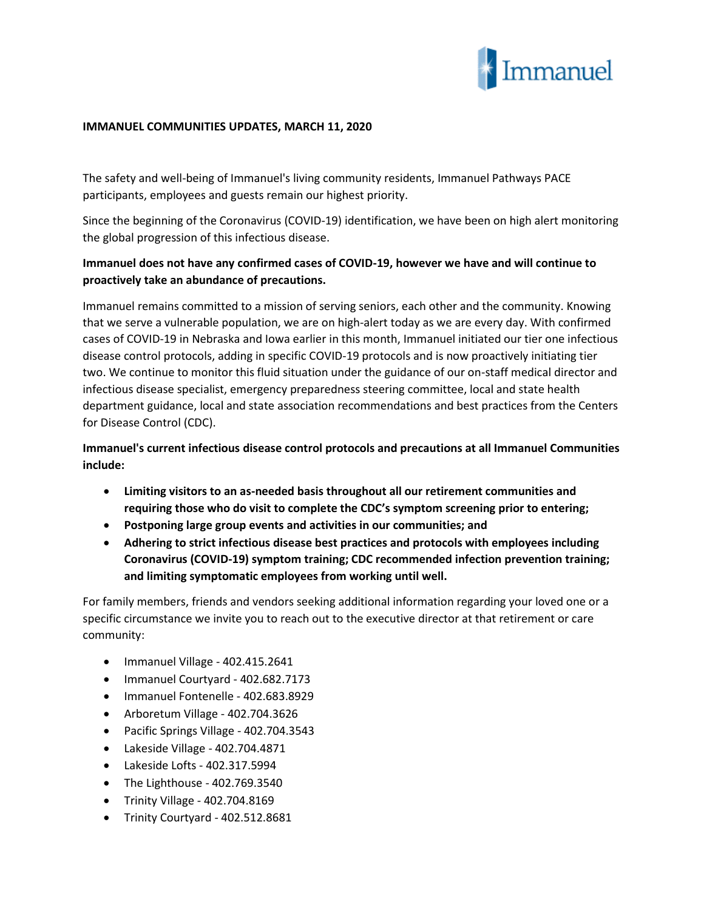

## **IMMANUEL COMMUNITIES UPDATES, MARCH 11, 2020**

The safety and well-being of Immanuel's living community residents, Immanuel Pathways PACE participants, employees and guests remain our highest priority.

Since the beginning of the Coronavirus (COVID-19) identification, we have been on high alert monitoring the global progression of this infectious disease.

## **Immanuel does not have any confirmed cases of COVID-19, however we have and will continue to proactively take an abundance of precautions.**

Immanuel remains committed to a mission of serving seniors, each other and the community. Knowing that we serve a vulnerable population, we are on high-alert today as we are every day. With confirmed cases of COVID-19 in Nebraska and Iowa earlier in this month, Immanuel initiated our tier one infectious disease control protocols, adding in specific COVID-19 protocols and is now proactively initiating tier two. We continue to monitor this fluid situation under the guidance of our on-staff medical director and infectious disease specialist, emergency preparedness steering committee, local and state health department guidance, local and state association recommendations and best practices from the Centers for Disease Control (CDC).

**Immanuel's current infectious disease control protocols and precautions at all Immanuel Communities include:**

- **Limiting visitors to an as-needed basis throughout all our retirement communities and requiring those who do visit to complete the CDC's symptom screening prior to entering;**
- **Postponing large group events and activities in our communities; and**
- **Adhering to strict infectious disease best practices and protocols with employees including Coronavirus (COVID-19) symptom training; CDC recommended infection prevention training; and limiting symptomatic employees from working until well.**

For family members, friends and vendors seeking additional information regarding your loved one or a specific circumstance we invite you to reach out to the executive director at that retirement or care community:

- Immanuel Village 402.415.2641
- Immanuel Courtyard 402.682.7173
- Immanuel Fontenelle 402.683.8929
- Arboretum Village 402.704.3626
- Pacific Springs Village 402.704.3543
- Lakeside Village 402.704.4871
- Lakeside Lofts 402.317.5994
- The Lighthouse  $402.769.3540$
- Trinity Village 402.704.8169
- Trinity Courtyard 402.512.8681